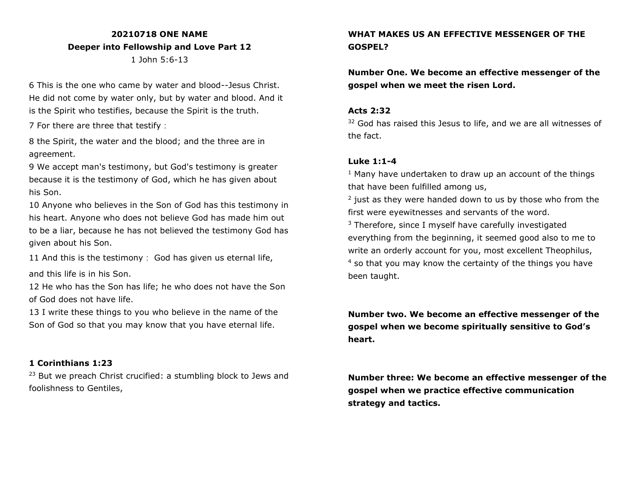# **20210718 ONE NAME Deeper into Fellowship and Love Part 12**

1 John 5:6-13

6 This is the one who came by water and blood--Jesus Christ. He did not come by water only, but by water and blood. And it is the Spirit who testifies, because the Spirit is the truth.

7 For there are three that testify:

8 the Spirit, the water and the blood; and the three are in agreement.

9 We accept man's testimony, but God's testimony is greater because it is the testimony of God, which he has given about his Son.

10 Anyone who believes in the Son of God has this testimony in his heart. Anyone who does not believe God has made him out to be a liar, because he has not believed the testimony God has given about his Son.

11 And this is the testimony: God has given us eternal life,

and this life is in his Son.

12 He who has the Son has life; he who does not have the Son of God does not have life.

13 I write these things to you who believe in the name of the Son of God so that you may know that you have eternal life.

#### **1 Corinthians 1:23**

 $23$  But we preach Christ crucified: a stumbling block to Jews and foolishness to Gentiles,

### **WHAT MAKES US AN EFFECTIVE MESSENGER OF THE GOSPEL?**

**Number One. We become an effective messenger of the gospel when we meet the risen Lord.**

#### **Acts 2:32**

<sup>32</sup> God has raised this Jesus to life, and we are all witnesses of the fact.

#### **Luke 1:1-4**

 $1$  Many have undertaken to draw up an account of the things that have been fulfilled among us,

<sup>2</sup> just as they were handed down to us by those who from the first were eyewitnesses and servants of the word.

<sup>3</sup> Therefore, since I myself have carefully investigated everything from the beginning, it seemed good also to me to write an orderly account for you, most excellent Theophilus, <sup>4</sup> so that you may know the certainty of the things you have been taught.

**Number two. We become an effective messenger of the gospel when we become spiritually sensitive to God's heart.**

**Number three: We become an effective messenger of the gospel when we practice effective communication strategy and tactics.**